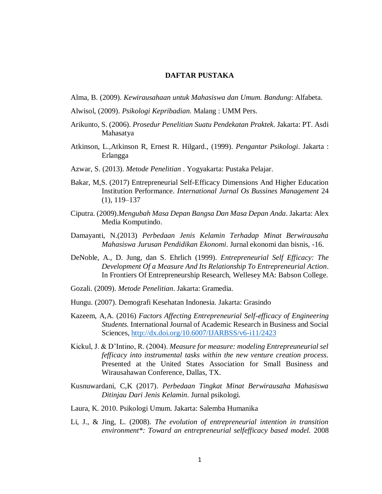## **DAFTAR PUSTAKA**

- Alma, B. (2009). *Kewirausahaan untuk Mahasiswa dan Umum. Bandung*: Alfabeta.
- Alwisol, (2009). *Psikologi Kepribadian.* Malang : UMM Pers.
- Arikunto, S. (2006). *Prosedur Penelitian Suatu Pendekatan Praktek*. Jakarta: PT. Asdi Mahasatya
- Atkinson, L.,Atkinson R, Ernest R. Hilgard., (1999). *Pengantar Psikologi*. Jakarta : Erlangga
- Azwar, S. (2013). *Metode Penelitian* . Yogyakarta: Pustaka Pelajar.
- Bakar, M,S. (2017) Entrepreneurial Self-Efficacy Dimensions And Higher Education Institution Performance. *International Jurnal Os Bussines Management* 24 (1), 119–137
- Ciputra. (2009).*Mengubah Masa Depan Bangsa Dan Masa Depan Anda*. Jakarta: Alex Media Komputindo.
- Damayanti, N.(2013) *Perbedaan Jenis Kelamin Terhadap Minat Berwirausaha Mahasiswa Jurusan Pendidikan Ekonomi*. Jurnal ekonomi dan bisnis, -16.
- DeNoble, A., D. Jung, dan S. Ehrlich (1999). *Entrepreneurial Self Efficacy: The Development Of a Measure And Its Relationship To Entrepreneurial Action*. In Frontiers Of Entrepreneurship Research, Wellesey MA: Babson College.
- Gozali. (2009). *Metode Penelitian*. Jakarta: Gramedia.
- Hungu. (2007). Demografi Kesehatan Indonesia. Jakarta: Grasindo
- Kazeem, A,A. (2016) *Factors Affecting Entrepreneurial Self-efficacy of Engineering Students.* International Journal of Academic Research in Business and Social Sciences, <http://dx.doi.org/10.6007/IJARBSS/v6-i11/2423>
- Kickul, J. & D'Intino, R. (2004). *Measure for measure: modeling Entrepreuneurial sel fefficacy into instrumental tasks within the new venture creation process*. Presented at the United States Association for Small Business and Wirausahawan Conference, Dallas, TX.
- Kusnuwardani, C,K (2017). *Perbedaan Tingkat Minat Berwirausaha Mahasiswa Ditinjau Dari Jenis Kelamin*. Jurnal psikologi.
- Laura, K. 2010. Psikologi Umum. Jakarta: Salemba Humanika
- Li, J., & Jing, L. (2008). *The evolution of entrepreneurial intention in transition environment\*: Toward an entrepreneurial selfefficacy based model.* 2008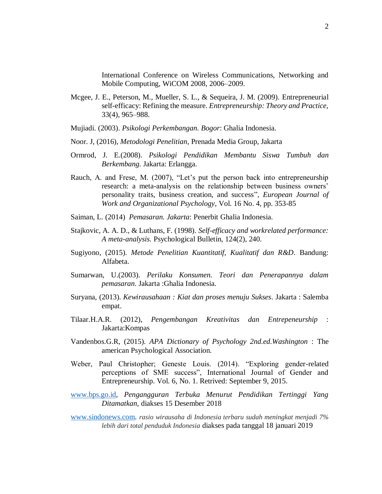International Conference on Wireless Communications, Networking and Mobile Computing, WiCOM 2008, 2006–2009.

- Mcgee, J. E., Peterson, M., Mueller, S. L., & Sequeira, J. M. (2009). Entrepreneurial self-efficacy: Refining the measure*. Entrepreneurship: Theory and Practice,*  33(4), 965–988.
- Mujiadi. (2003). *Psikologi Perkembangan. Bogor*: Ghalia Indonesia.
- Noor. J, (2016), *Metodologi Penelitian*, Prenada Media Group, Jakarta
- Ormrod, J. E.(2008). *Psikologi Pendidikan Membantu Siswa Tumbuh dan Berkembang.* Jakarta: Erlangga.
- Rauch, A. and Frese, M. (2007), "Let's put the person back into entrepreneurship research: a meta-analysis on the relationship between business owners' personality traits, business creation, and success", *European Journal of Work and Organizational Psychology*, Vol. 16 No. 4, pp. 353-85
- Saiman, L. (2014) *Pemasaran. Jakarta*: Penerbit Ghalia Indonesia.
- Stajkovic, A. A. D., & Luthans, F. (1998). *Self-efficacy and workrelated performance: A meta-analysis.* Psychological Bulletin, 124(2), 240.
- Sugiyono, (2015). *Metode Penelitian Kuantitatif, Kualitatif dan R&D*. Bandung: Alfabeta.
- Sumarwan, U.(2003). *Perilaku Konsumen. Teori dan Penerapannya dalam pemasaran*. Jakarta :Ghalia Indonesia.
- Suryana, (2013). *Kewirausahaan : Kiat dan proses menuju Sukses*. Jakarta : Salemba empat.
- Tilaar.H.A.R. (2012), *Pengembangan Kreativitas dan Entrepeneurship* : Jakarta:Kompas
- Vandenbos.G.R, (2015). *APA Dictionary of Psychology 2nd.ed.Washington* : The american Psychological Association.
- Weber, Paul Christopher; Geneste Louis. (2014). "Exploring gender-related perceptions of SME success", International Journal of Gender and Entrepreneurship. Vol. 6, No. 1. Retrived: September 9, 2015.
- [www.bps.go.id,](http://www.bps.go.id/) *Pengangguran Terbuka Menurut Pendidikan Tertinggi Yang Ditamatkan,* diakses 15 Desember 2018

[www.sindonews.com.](http://www.sindonews.com/) *rasio wirausaha di Indonesia terbaru sudah meningkat menjadi 7% lebih dari total penduduk Indonesia* diakses pada tanggal 18 januari 2019